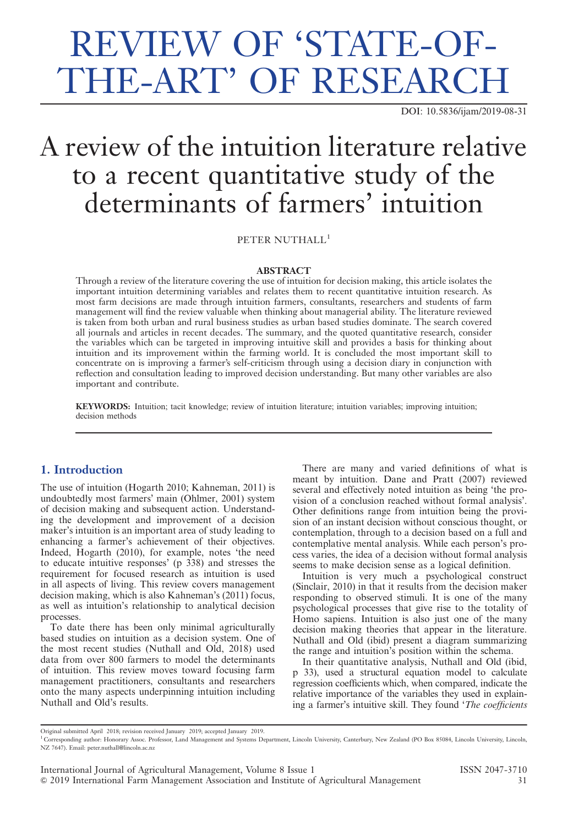# REVIEW OF 'STATE-OF-THE-ART' OF RESEARCH

DOI: 10.5836/ijam/2019-08-31

## A review of the intuition literature relative to a recent quantitative study of the determinants of farmers' intuition

PETER NUTHALL<sup>1</sup>

#### ABSTRACT

Through a review of the literature covering the use of intuition for decision making, this article isolates the important intuition determining variables and relates them to recent quantitative intuition research. As most farm decisions are made through intuition farmers, consultants, researchers and students of farm management will find the review valuable when thinking about managerial ability. The literature reviewed is taken from both urban and rural business studies as urban based studies dominate. The search covered all journals and articles in recent decades. The summary, and the quoted quantitative research, consider the variables which can be targeted in improving intuitive skill and provides a basis for thinking about intuition and its improvement within the farming world. It is concluded the most important skill to concentrate on is improving a farmer's self-criticism through using a decision diary in conjunction with reflection and consultation leading to improved decision understanding. But many other variables are also important and contribute.

KEYWORDS: Intuition; tacit knowledge; review of intuition literature; intuition variables; improving intuition; decision methods

### 1. Introduction

The use of intuition (Hogarth 2010; Kahneman, 2011) is undoubtedly most farmers' main (Ohlmer, 2001) system of decision making and subsequent action. Understanding the development and improvement of a decision maker's intuition is an important area of study leading to enhancing a farmer's achievement of their objectives. Indeed, Hogarth (2010), for example, notes 'the need to educate intuitive responses' (p 338) and stresses the requirement for focused research as intuition is used in all aspects of living. This review covers management decision making, which is also Kahneman's (2011) focus, as well as intuition's relationship to analytical decision processes.

To date there has been only minimal agriculturally based studies on intuition as a decision system. One of the most recent studies (Nuthall and Old, 2018) used data from over 800 farmers to model the determinants of intuition. This review moves toward focusing farm management practitioners, consultants and researchers onto the many aspects underpinning intuition including Nuthall and Old's results.

There are many and varied definitions of what is meant by intuition. Dane and Pratt (2007) reviewed several and effectively noted intuition as being 'the provision of a conclusion reached without formal analysis'. Other definitions range from intuition being the provision of an instant decision without conscious thought, or contemplation, through to a decision based on a full and contemplative mental analysis. While each person's process varies, the idea of a decision without formal analysis seems to make decision sense as a logical definition.

Intuition is very much a psychological construct (Sinclair, 2010) in that it results from the decision maker responding to observed stimuli. It is one of the many psychological processes that give rise to the totality of Homo sapiens. Intuition is also just one of the many decision making theories that appear in the literature. Nuthall and Old (ibid) present a diagram summarizing the range and intuition's position within the schema.

In their quantitative analysis, Nuthall and Old (ibid, p 33), used a structural equation model to calculate regression coefficients which, when compared, indicate the relative importance of the variables they used in explaining a farmer's intuitive skill. They found 'The coefficients

Original submitted April 2018; revision received January 2019; accepted January 2019.

<sup>&</sup>lt;sup>1</sup> Corresponding author: Honorary Assoc. Professor, Land Management and Systems Department, Lincoln University, Canterbury, New Zealand (PO Box 85084, Lincoln University, Lincoln, NZ 7647). Email: peter.nuthall@lincoln.ac.nz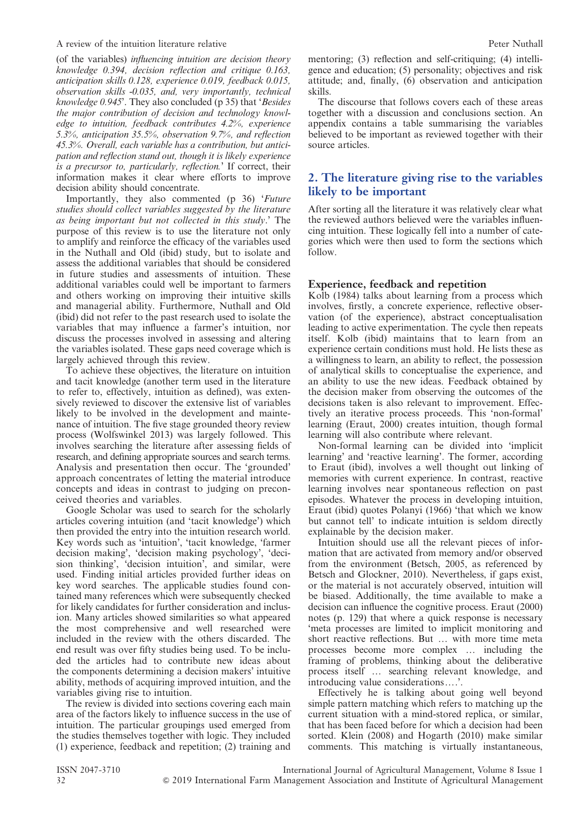#### A review of the intuition literature relative A review Peter Nuthall

(of the variables) influencing intuition are decision theory knowledge 0.394, decision reflection and critique 0.163, anticipation skills 0.128, experience 0.019, feedback 0.015, observation skills -0.035, and, very importantly, technical knowledge 0.945'. They also concluded (p 35) that 'Besides the major contribution of decision and technology knowledge to intuition, feedback contributes 4.2%, experience 5.3%, anticipation 35.5%, observation 9.7%, and reflection 45.3%. Overall, each variable has a contribution, but anticipation and reflection stand out, though it is likely experience is a precursor to, particularly, reflection.' If correct, their information makes it clear where efforts to improve decision ability should concentrate.

Importantly, they also commented (p 36) 'Future studies should collect variables suggested by the literature as being important but not collected in this study.' The purpose of this review is to use the literature not only to amplify and reinforce the efficacy of the variables used in the Nuthall and Old (ibid) study, but to isolate and assess the additional variables that should be considered in future studies and assessments of intuition. These additional variables could well be important to farmers and others working on improving their intuitive skills and managerial ability. Furthermore, Nuthall and Old (ibid) did not refer to the past research used to isolate the variables that may influence a farmer's intuition, nor discuss the processes involved in assessing and altering the variables isolated. These gaps need coverage which is largely achieved through this review.

To achieve these objectives, the literature on intuition and tacit knowledge (another term used in the literature to refer to, effectively, intuition as defined), was extensively reviewed to discover the extensive list of variables likely to be involved in the development and maintenance of intuition. The five stage grounded theory review process (Wolfswinkel 2013) was largely followed. This involves searching the literature after assessing fields of research, and defining appropriate sources and search terms. Analysis and presentation then occur. The 'grounded' approach concentrates of letting the material introduce concepts and ideas in contrast to judging on preconceived theories and variables.

Google Scholar was used to search for the scholarly articles covering intuition (and 'tacit knowledge') which then provided the entry into the intuition research world. Key words such as 'intuition', 'tacit knowledge, 'farmer decision making', 'decision making psychology', 'decision thinking', 'decision intuition', and similar, were used. Finding initial articles provided further ideas on key word searches. The applicable studies found contained many references which were subsequently checked for likely candidates for further consideration and inclusion. Many articles showed similarities so what appeared the most comprehensive and well researched were included in the review with the others discarded. The end result was over fifty studies being used. To be included the articles had to contribute new ideas about the components determining a decision makers' intuitive ability, methods of acquiring improved intuition, and the variables giving rise to intuition.

The review is divided into sections covering each main area of the factors likely to influence success in the use of intuition. The particular groupings used emerged from the studies themselves together with logic. They included (1) experience, feedback and repetition; (2) training and

mentoring; (3) reflection and self-critiquing; (4) intelligence and education; (5) personality; objectives and risk attitude; and, finally, (6) observation and anticipation skills.

The discourse that follows covers each of these areas together with a discussion and conclusions section. An appendix contains a table summarising the variables believed to be important as reviewed together with their source articles.

## 2. The literature giving rise to the variables likely to be important

After sorting all the literature it was relatively clear what the reviewed authors believed were the variables influencing intuition. These logically fell into a number of categories which were then used to form the sections which follow.

#### Experience, feedback and repetition

Kolb (1984) talks about learning from a process which involves, firstly, a concrete experience, reflective observation (of the experience), abstract conceptualisation leading to active experimentation. The cycle then repeats itself. Kolb (ibid) maintains that to learn from an experience certain conditions must hold. He lists these as a willingness to learn, an ability to reflect, the possession of analytical skills to conceptualise the experience, and an ability to use the new ideas. Feedback obtained by the decision maker from observing the outcomes of the decisions taken is also relevant to improvement. Effectively an iterative process proceeds. This 'non-formal' learning (Eraut, 2000) creates intuition, though formal learning will also contribute where relevant.

Non-formal learning can be divided into 'implicit learning' and 'reactive learning'. The former, according to Eraut (ibid), involves a well thought out linking of memories with current experience. In contrast, reactive learning involves near spontaneous reflection on past episodes. Whatever the process in developing intuition, Eraut (ibid) quotes Polanyi (1966) 'that which we know but cannot tell' to indicate intuition is seldom directly explainable by the decision maker.

Intuition should use all the relevant pieces of information that are activated from memory and/or observed from the environment (Betsch, 2005, as referenced by Betsch and Glockner, 2010). Nevertheless, if gaps exist, or the material is not accurately observed, intuition will be biased. Additionally, the time available to make a decision can influence the cognitive process. Eraut (2000) notes (p. 129) that where a quick response is necessary 'meta processes are limited to implicit monitoring and short reactive reflections. But ... with more time meta processes become more complex ... including the framing of problems, thinking about the deliberative process itself ... searching relevant knowledge, and introducing value considerations $\dots$ .

Effectively he is talking about going well beyond simple pattern matching which refers to matching up the current situation with a mind-stored replica, or similar, that has been faced before for which a decision had been sorted. Klein (2008) and Hogarth (2010) make similar comments. This matching is virtually instantaneous,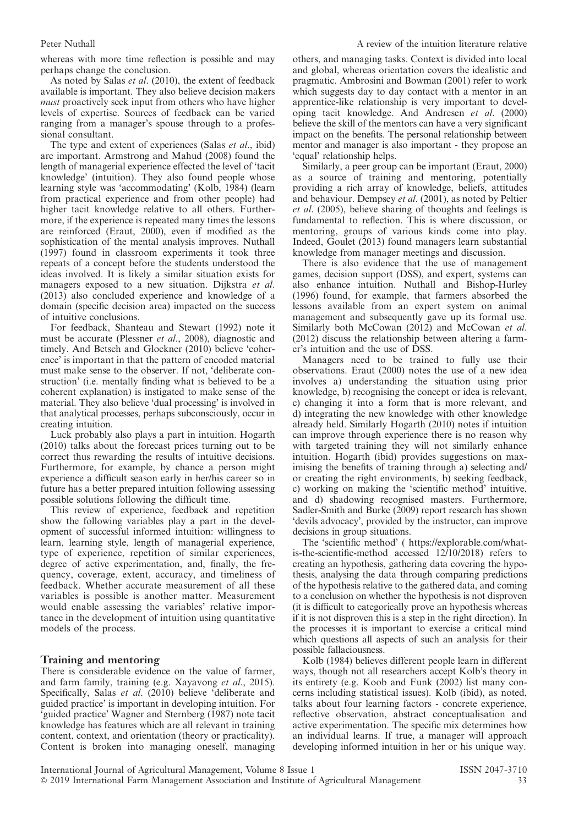whereas with more time reflection is possible and may perhaps change the conclusion.

As noted by Salas et al. (2010), the extent of feedback available is important. They also believe decision makers must proactively seek input from others who have higher levels of expertise. Sources of feedback can be varied ranging from a manager's spouse through to a professional consultant.

The type and extent of experiences (Salas et al., ibid) are important. Armstrong and Mahud (2008) found the length of managerial experience effected the level of 'tacit knowledge' (intuition). They also found people whose learning style was 'accommodating' (Kolb, 1984) (learn from practical experience and from other people) had higher tacit knowledge relative to all others. Furthermore, if the experience is repeated many times the lessons are reinforced (Eraut, 2000), even if modified as the sophistication of the mental analysis improves. Nuthall (1997) found in classroom experiments it took three repeats of a concept before the students understood the ideas involved. It is likely a similar situation exists for managers exposed to a new situation. Dijkstra et al. (2013) also concluded experience and knowledge of a domain (specific decision area) impacted on the success of intuitive conclusions.

For feedback, Shanteau and Stewart (1992) note it must be accurate (Plessner et al., 2008), diagnostic and timely. And Betsch and Glockner (2010) believe 'coherence' is important in that the pattern of encoded material must make sense to the observer. If not, 'deliberate construction' (i.e. mentally finding what is believed to be a coherent explanation) is instigated to make sense of the material. They also believe 'dual processing' is involved in that analytical processes, perhaps subconsciously, occur in creating intuition.

Luck probably also plays a part in intuition. Hogarth (2010) talks about the forecast prices turning out to be correct thus rewarding the results of intuitive decisions. Furthermore, for example, by chance a person might experience a difficult season early in her/his career so in future has a better prepared intuition following assessing possible solutions following the difficult time.

This review of experience, feedback and repetition show the following variables play a part in the development of successful informed intuition: willingness to learn, learning style, length of managerial experience, type of experience, repetition of similar experiences, degree of active experimentation, and, finally, the frequency, coverage, extent, accuracy, and timeliness of feedback. Whether accurate measurement of all these variables is possible is another matter. Measurement would enable assessing the variables' relative importance in the development of intuition using quantitative models of the process.

#### Training and mentoring

There is considerable evidence on the value of farmer, and farm family, training (e.g. Xayavong et al., 2015). Specifically, Salas et al. (2010) believe 'deliberate and guided practice' is important in developing intuition. For 'guided practice' Wagner and Sternberg (1987) note tacit knowledge has features which are all relevant in training content, context, and orientation (theory or practicality). Content is broken into managing oneself, managing others, and managing tasks. Context is divided into local and global, whereas orientation covers the idealistic and pragmatic. Ambrosini and Bowman (2001) refer to work which suggests day to day contact with a mentor in an apprentice-like relationship is very important to developing tacit knowledge. And Andresen et al. (2000) believe the skill of the mentors can have a very significant impact on the benefits. The personal relationship between mentor and manager is also important - they propose an 'equal' relationship helps.

Similarly, a peer group can be important (Eraut, 2000) as a source of training and mentoring, potentially providing a rich array of knowledge, beliefs, attitudes and behaviour. Dempsey et al. (2001), as noted by Peltier et al. (2005), believe sharing of thoughts and feelings is fundamental to reflection. This is where discussion, or mentoring, groups of various kinds come into play. Indeed, Goulet (2013) found managers learn substantial knowledge from manager meetings and discussion.

There is also evidence that the use of management games, decision support (DSS), and expert, systems can also enhance intuition. Nuthall and Bishop-Hurley (1996) found, for example, that farmers absorbed the lessons available from an expert system on animal management and subsequently gave up its formal use. Similarly both McCowan (2012) and McCowan et al. (2012) discuss the relationship between altering a farmer's intuition and the use of DSS.

Managers need to be trained to fully use their observations. Eraut (2000) notes the use of a new idea involves a) understanding the situation using prior knowledge, b) recognising the concept or idea is relevant, c) changing it into a form that is more relevant, and d) integrating the new knowledge with other knowledge already held. Similarly Hogarth (2010) notes if intuition can improve through experience there is no reason why with targeted training they will not similarly enhance intuition. Hogarth (ibid) provides suggestions on maximising the benefits of training through a) selecting and/ or creating the right environments, b) seeking feedback, c) working on making the 'scientific method' intuitive, and d) shadowing recognised masters. Furthermore, Sadler-Smith and Burke (2009) report research has shown 'devils advocacy', provided by the instructor, can improve decisions in group situations.

The 'scientific method' ( https://explorable.com/whatis-the-scientific-method accessed 12/10/2018) refers to creating an hypothesis, gathering data covering the hypothesis, analysing the data through comparing predictions of the hypothesis relative to the gathered data, and coming to a conclusion on whether the hypothesis is not disproven (it is difficult to categorically prove an hypothesis whereas if it is not disproven this is a step in the right direction). In the processes it is important to exercise a critical mind which questions all aspects of such an analysis for their possible fallaciousness.

Kolb (1984) believes different people learn in different ways, though not all researchers accept Kolb's theory in its entirety (e.g. Koob and Funk (2002) list many concerns including statistical issues). Kolb (ibid), as noted, talks about four learning factors - concrete experience, reflective observation, abstract conceptualisation and active experimentation. The specific mix determines how an individual learns. If true, a manager will approach developing informed intuition in her or his unique way.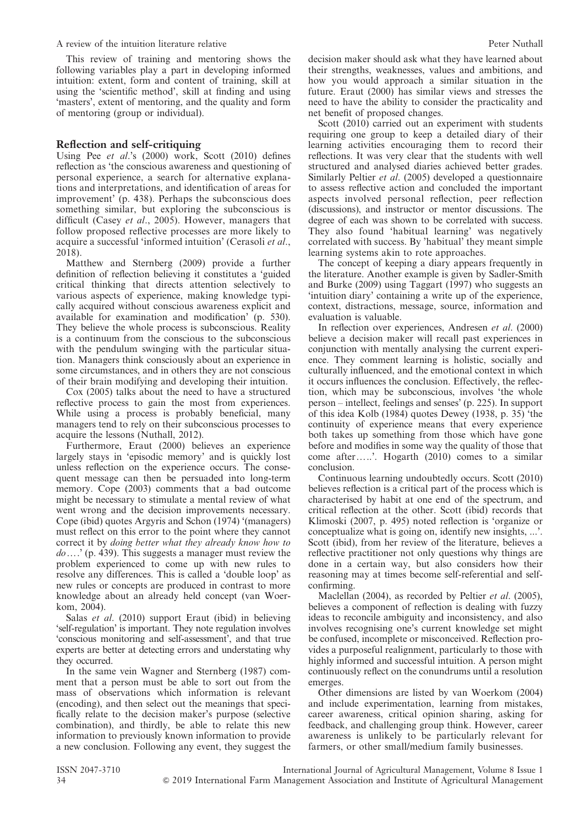#### A review of the intuition literature relative A review Peter Nuthall

This review of training and mentoring shows the following variables play a part in developing informed intuition: extent, form and content of training, skill at using the 'scientific method', skill at finding and using 'masters', extent of mentoring, and the quality and form of mentoring (group or individual).

#### Reflection and self-critiquing

Using Pee et al.'s (2000) work, Scott (2010) defines reflection as 'the conscious awareness and questioning of personal experience, a search for alternative explanations and interpretations, and identification of areas for improvement' (p. 438). Perhaps the subconscious does something similar, but exploring the subconscious is difficult (Casey et al., 2005). However, managers that follow proposed reflective processes are more likely to acquire a successful 'informed intuition' (Cerasoli et al., 2018).

Matthew and Sternberg (2009) provide a further definition of reflection believing it constitutes a 'guided critical thinking that directs attention selectively to various aspects of experience, making knowledge typically acquired without conscious awareness explicit and available for examination and modification' (p. 530). They believe the whole process is subconscious. Reality is a continuum from the conscious to the subconscious with the pendulum swinging with the particular situation. Managers think consciously about an experience in some circumstances, and in others they are not conscious of their brain modifying and developing their intuition.

Cox (2005) talks about the need to have a structured reflective process to gain the most from experiences. While using a process is probably beneficial, many managers tend to rely on their subconscious processes to acquire the lessons (Nuthall, 2012).

Furthermore, Eraut (2000) believes an experience largely stays in 'episodic memory' and is quickly lost unless reflection on the experience occurs. The consequent message can then be persuaded into long-term memory. Cope (2003) comments that a bad outcome might be necessary to stimulate a mental review of what went wrong and the decision improvements necessary. Cope (ibid) quotes Argyris and Schon (1974) '(managers) must reflect on this error to the point where they cannot correct it by doing better what they already know how to  $do...'$  (p. 439). This suggests a manager must review the problem experienced to come up with new rules to resolve any differences. This is called a 'double loop' as new rules or concepts are produced in contrast to more knowledge about an already held concept (van Woerkom, 2004).

Salas et al. (2010) support Eraut (ibid) in believing 'self-regulation' is important. They note regulation involves 'conscious monitoring and self-assessment', and that true experts are better at detecting errors and understating why they occurred.

In the same vein Wagner and Sternberg (1987) comment that a person must be able to sort out from the mass of observations which information is relevant (encoding), and then select out the meanings that specifically relate to the decision maker's purpose (selective combination), and thirdly, be able to relate this new information to previously known information to provide a new conclusion. Following any event, they suggest the decision maker should ask what they have learned about their strengths, weaknesses, values and ambitions, and how you would approach a similar situation in the future. Eraut (2000) has similar views and stresses the need to have the ability to consider the practicality and net benefit of proposed changes.

Scott (2010) carried out an experiment with students requiring one group to keep a detailed diary of their learning activities encouraging them to record their reflections. It was very clear that the students with well structured and analysed diaries achieved better grades. Similarly Peltier et al. (2005) developed a questionnaire to assess reflective action and concluded the important aspects involved personal reflection, peer reflection (discussions), and instructor or mentor discussions. The degree of each was shown to be correlated with success. They also found 'habitual learning' was negatively correlated with success. By 'habitual' they meant simple learning systems akin to rote approaches.

The concept of keeping a diary appears frequently in the literature. Another example is given by Sadler-Smith and Burke (2009) using Taggart (1997) who suggests an 'intuition diary' containing a write up of the experience, context, distractions, message, source, information and evaluation is valuable.

In reflection over experiences, Andresen et al. (2000) believe a decision maker will recall past experiences in conjunction with mentally analysing the current experience. They comment learning is holistic, socially and culturally influenced, and the emotional context in which it occurs influences the conclusion. Effectively, the reflection, which may be subconscious, involves 'the whole person – intellect, feelings and senses' (p. 225). In support of this idea Kolb (1984) quotes Dewey (1938, p. 35) 'the continuity of experience means that every experience both takes up something from those which have gone before and modifies in some way the quality of those that come after.....'. Hogarth (2010) comes to a similar conclusion.

Continuous learning undoubtedly occurs. Scott (2010) believes reflection is a critical part of the process which is characterised by habit at one end of the spectrum, and critical reflection at the other. Scott (ibid) records that Klimoski (2007, p. 495) noted reflection is 'organize or conceptualize what is going on, identify new insights, ...'. Scott (ibid), from her review of the literature, believes a reflective practitioner not only questions why things are done in a certain way, but also considers how their reasoning may at times become self-referential and selfconfirming.

Maclellan (2004), as recorded by Peltier *et al.* (2005), believes a component of reflection is dealing with fuzzy ideas to reconcile ambiguity and inconsistency, and also involves recognising one's current knowledge set might be confused, incomplete or misconceived. Reflection provides a purposeful realignment, particularly to those with highly informed and successful intuition. A person might continuously reflect on the conundrums until a resolution emerges.

Other dimensions are listed by van Woerkom (2004) and include experimentation, learning from mistakes, career awareness, critical opinion sharing, asking for feedback, and challenging group think. However, career awareness is unlikely to be particularly relevant for farmers, or other small/medium family businesses.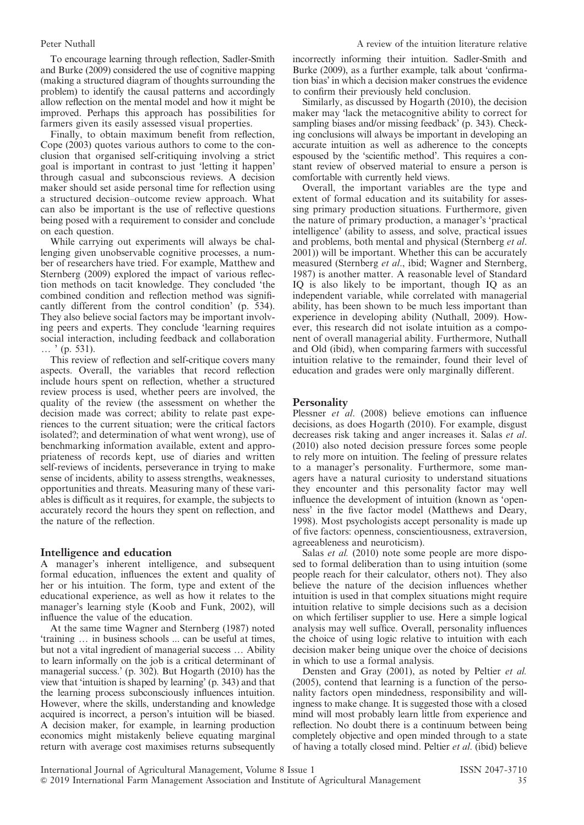To encourage learning through reflection, Sadler-Smith and Burke (2009) considered the use of cognitive mapping (making a structured diagram of thoughts surrounding the problem) to identify the causal patterns and accordingly allow reflection on the mental model and how it might be improved. Perhaps this approach has possibilities for farmers given its easily assessed visual properties.

Finally, to obtain maximum benefit from reflection, Cope (2003) quotes various authors to come to the conclusion that organised self-critiquing involving a strict goal is important in contrast to just 'letting it happen' through casual and subconscious reviews. A decision maker should set aside personal time for reflection using a structured decision–outcome review approach. What can also be important is the use of reflective questions being posed with a requirement to consider and conclude on each question.

While carrying out experiments will always be challenging given unobservable cognitive processes, a number of researchers have tried. For example, Matthew and Sternberg (2009) explored the impact of various reflection methods on tacit knowledge. They concluded 'the combined condition and reflection method was significantly different from the control condition' (p. 534). They also believe social factors may be important involving peers and experts. They conclude 'learning requires social interaction, including feedback and collaboration  $\ldots$ , (p. 531).

This review of reflection and self-critique covers many aspects. Overall, the variables that record reflection include hours spent on reflection, whether a structured review process is used, whether peers are involved, the quality of the review (the assessment on whether the decision made was correct; ability to relate past experiences to the current situation; were the critical factors isolated?; and determination of what went wrong), use of benchmarking information available, extent and appropriateness of records kept, use of diaries and written self-reviews of incidents, perseverance in trying to make sense of incidents, ability to assess strengths, weaknesses, opportunities and threats. Measuring many of these variables is difficult as it requires, for example, the subjects to accurately record the hours they spent on reflection, and the nature of the reflection.

#### Intelligence and education

A manager's inherent intelligence, and subsequent formal education, influences the extent and quality of her or his intuition. The form, type and extent of the educational experience, as well as how it relates to the manager's learning style (Koob and Funk, 2002), will influence the value of the education.

At the same time Wagner and Sternberg (1987) noted 'training ... in business schools ... can be useful at times, but not a vital ingredient of managerial success ... Ability to learn informally on the job is a critical determinant of managerial success.' (p. 302). But Hogarth (2010) has the view that 'intuition is shaped by learning' (p. 343) and that the learning process subconsciously influences intuition. However, where the skills, understanding and knowledge acquired is incorrect, a person's intuition will be biased. A decision maker, for example, in learning production economics might mistakenly believe equating marginal return with average cost maximises returns subsequently

incorrectly informing their intuition. Sadler-Smith and Burke (2009), as a further example, talk about 'confirmation bias' in which a decision maker construes the evidence to confirm their previously held conclusion.

Similarly, as discussed by Hogarth (2010), the decision maker may 'lack the metacognitive ability to correct for sampling biases and/or missing feedback' (p. 343). Checking conclusions will always be important in developing an accurate intuition as well as adherence to the concepts espoused by the 'scientific method'. This requires a constant review of observed material to ensure a person is comfortable with currently held views.

Overall, the important variables are the type and extent of formal education and its suitability for assessing primary production situations. Furthermore, given the nature of primary production, a manager's 'practical intelligence' (ability to assess, and solve, practical issues and problems, both mental and physical (Sternberg et al. 2001)) will be important. Whether this can be accurately measured (Sternberg et al., ibid; Wagner and Sternberg, 1987) is another matter. A reasonable level of Standard IQ is also likely to be important, though IQ as an independent variable, while correlated with managerial ability, has been shown to be much less important than experience in developing ability (Nuthall, 2009). However, this research did not isolate intuition as a component of overall managerial ability. Furthermore, Nuthall and Old (ibid), when comparing farmers with successful intuition relative to the remainder, found their level of education and grades were only marginally different.

#### **Personality**

Plessner et al. (2008) believe emotions can influence decisions, as does Hogarth (2010). For example, disgust decreases risk taking and anger increases it. Salas et al. (2010) also noted decision pressure forces some people to rely more on intuition. The feeling of pressure relates to a manager's personality. Furthermore, some managers have a natural curiosity to understand situations they encounter and this personality factor may well influence the development of intuition (known as 'openness' in the five factor model (Matthews and Deary, 1998). Most psychologists accept personality is made up of five factors: openness, conscientiousness, extraversion, agreeableness and neuroticism).

Salas et al. (2010) note some people are more disposed to formal deliberation than to using intuition (some people reach for their calculator, others not). They also believe the nature of the decision influences whether intuition is used in that complex situations might require intuition relative to simple decisions such as a decision on which fertiliser supplier to use. Here a simple logical analysis may well suffice. Overall, personality influences the choice of using logic relative to intuition with each decision maker being unique over the choice of decisions in which to use a formal analysis.

Densten and Gray (2001), as noted by Peltier et al. (2005), contend that learning is a function of the personality factors open mindedness, responsibility and willingness to make change. It is suggested those with a closed mind will most probably learn little from experience and reflection. No doubt there is a continuum between being completely objective and open minded through to a state of having a totally closed mind. Peltier et al. (ibid) believe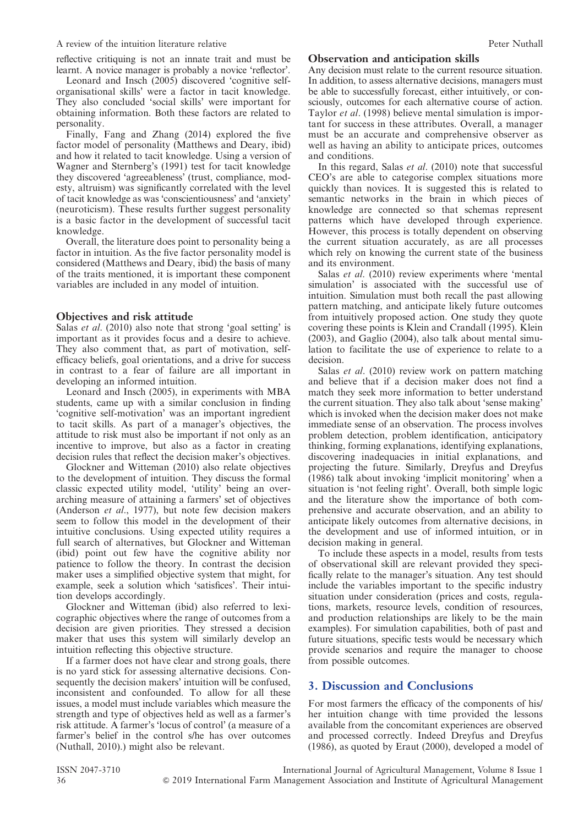reflective critiquing is not an innate trait and must be learnt. A novice manager is probably a novice 'reflector'.

Leonard and Insch (2005) discovered 'cognitive selforganisational skills' were a factor in tacit knowledge. They also concluded 'social skills' were important for obtaining information. Both these factors are related to personality.

Finally, Fang and Zhang (2014) explored the five factor model of personality (Matthews and Deary, ibid) and how it related to tacit knowledge. Using a version of Wagner and Sternberg's (1991) test for tacit knowledge they discovered 'agreeableness' (trust, compliance, modesty, altruism) was significantly correlated with the level of tacit knowledge as was 'conscientiousness' and 'anxiety' (neuroticism). These results further suggest personality is a basic factor in the development of successful tacit knowledge.

Overall, the literature does point to personality being a factor in intuition. As the five factor personality model is considered (Matthews and Deary, ibid) the basis of many of the traits mentioned, it is important these component variables are included in any model of intuition.

#### Objectives and risk attitude

Salas *et al.* (2010) also note that strong 'goal setting' is important as it provides focus and a desire to achieve. They also comment that, as part of motivation, selfefficacy beliefs, goal orientations, and a drive for success in contrast to a fear of failure are all important in developing an informed intuition.

Leonard and Insch (2005), in experiments with MBA students, came up with a similar conclusion in finding 'cognitive self-motivation' was an important ingredient to tacit skills. As part of a manager's objectives, the attitude to risk must also be important if not only as an incentive to improve, but also as a factor in creating decision rules that reflect the decision maker's objectives.

Glockner and Witteman (2010) also relate objectives to the development of intuition. They discuss the formal classic expected utility model, 'utility' being an overarching measure of attaining a farmers' set of objectives (Anderson et al., 1977), but note few decision makers seem to follow this model in the development of their intuitive conclusions. Using expected utility requires a full search of alternatives, but Glockner and Witteman (ibid) point out few have the cognitive ability nor patience to follow the theory. In contrast the decision maker uses a simplified objective system that might, for example, seek a solution which 'satisfices'. Their intuition develops accordingly.

Glockner and Witteman (ibid) also referred to lexicographic objectives where the range of outcomes from a decision are given priorities. They stressed a decision maker that uses this system will similarly develop an intuition reflecting this objective structure.

If a farmer does not have clear and strong goals, there is no yard stick for assessing alternative decisions. Consequently the decision makers' intuition will be confused, inconsistent and confounded. To allow for all these issues, a model must include variables which measure the strength and type of objectives held as well as a farmer's risk attitude. A farmer's 'locus of control' (a measure of a farmer's belief in the control s/he has over outcomes (Nuthall, 2010).) might also be relevant.

#### Observation and anticipation skills

Any decision must relate to the current resource situation. In addition, to assess alternative decisions, managers must be able to successfully forecast, either intuitively, or consciously, outcomes for each alternative course of action. Taylor et al. (1998) believe mental simulation is important for success in these attributes. Overall, a manager must be an accurate and comprehensive observer as well as having an ability to anticipate prices, outcomes and conditions.

In this regard, Salas et al. (2010) note that successful CEO's are able to categorise complex situations more quickly than novices. It is suggested this is related to semantic networks in the brain in which pieces of knowledge are connected so that schemas represent patterns which have developed through experience. However, this process is totally dependent on observing the current situation accurately, as are all processes which rely on knowing the current state of the business and its environment.

Salas *et al.* (2010) review experiments where 'mental simulation' is associated with the successful use of intuition. Simulation must both recall the past allowing pattern matching, and anticipate likely future outcomes from intuitively proposed action. One study they quote covering these points is Klein and Crandall (1995). Klein (2003), and Gaglio (2004), also talk about mental simulation to facilitate the use of experience to relate to a decision.

Salas *et al.* (2010) review work on pattern matching and believe that if a decision maker does not find a match they seek more information to better understand the current situation. They also talk about 'sense making' which is invoked when the decision maker does not make immediate sense of an observation. The process involves problem detection, problem identification, anticipatory thinking, forming explanations, identifying explanations, discovering inadequacies in initial explanations, and projecting the future. Similarly, Dreyfus and Dreyfus (1986) talk about invoking 'implicit monitoring' when a situation is 'not feeling right'. Overall, both simple logic and the literature show the importance of both comprehensive and accurate observation, and an ability to anticipate likely outcomes from alternative decisions, in the development and use of informed intuition, or in decision making in general.

To include these aspects in a model, results from tests of observational skill are relevant provided they specifically relate to the manager's situation. Any test should include the variables important to the specific industry situation under consideration (prices and costs, regulations, markets, resource levels, condition of resources, and production relationships are likely to be the main examples). For simulation capabilities, both of past and future situations, specific tests would be necessary which provide scenarios and require the manager to choose from possible outcomes.

#### 3. Discussion and Conclusions

For most farmers the efficacy of the components of his/ her intuition change with time provided the lessons available from the concomitant experiences are observed and processed correctly. Indeed Dreyfus and Dreyfus (1986), as quoted by Eraut (2000), developed a model of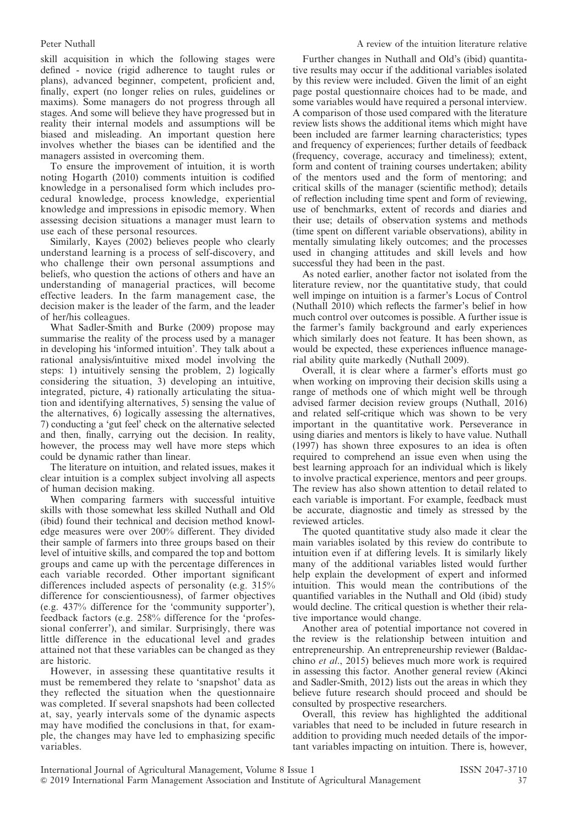skill acquisition in which the following stages were defined - novice (rigid adherence to taught rules or plans), advanced beginner, competent, proficient and, finally, expert (no longer relies on rules, guidelines or maxims). Some managers do not progress through all stages. And some will believe they have progressed but in reality their internal models and assumptions will be biased and misleading. An important question here involves whether the biases can be identified and the managers assisted in overcoming them.

To ensure the improvement of intuition, it is worth noting Hogarth (2010) comments intuition is codified knowledge in a personalised form which includes procedural knowledge, process knowledge, experiential knowledge and impressions in episodic memory. When assessing decision situations a manager must learn to use each of these personal resources.

Similarly, Kayes (2002) believes people who clearly understand learning is a process of self-discovery, and who challenge their own personal assumptions and beliefs, who question the actions of others and have an understanding of managerial practices, will become effective leaders. In the farm management case, the decision maker is the leader of the farm, and the leader of her/his colleagues.

What Sadler-Smith and Burke (2009) propose may summarise the reality of the process used by a manager in developing his 'informed intuition'. They talk about a rational analysis/intuitive mixed model involving the steps: 1) intuitively sensing the problem, 2) logically considering the situation, 3) developing an intuitive, integrated, picture, 4) rationally articulating the situation and identifying alternatives, 5) sensing the value of the alternatives, 6) logically assessing the alternatives, 7) conducting a 'gut feel' check on the alternative selected and then, finally, carrying out the decision. In reality, however, the process may well have more steps which could be dynamic rather than linear.

The literature on intuition, and related issues, makes it clear intuition is a complex subject involving all aspects of human decision making.

When comparing farmers with successful intuitive skills with those somewhat less skilled Nuthall and Old (ibid) found their technical and decision method knowledge measures were over 200% different. They divided their sample of farmers into three groups based on their level of intuitive skills, and compared the top and bottom groups and came up with the percentage differences in each variable recorded. Other important significant differences included aspects of personality (e.g. 315% difference for conscientiousness), of farmer objectives (e.g. 437% difference for the 'community supporter'), feedback factors (e.g. 258% difference for the 'professional conferrer'), and similar. Surprisingly, there was little difference in the educational level and grades attained not that these variables can be changed as they are historic.

However, in assessing these quantitative results it must be remembered they relate to 'snapshot' data as they reflected the situation when the questionnaire was completed. If several snapshots had been collected at, say, yearly intervals some of the dynamic aspects may have modified the conclusions in that, for example, the changes may have led to emphasizing specific variables.

Further changes in Nuthall and Old's (ibid) quantitative results may occur if the additional variables isolated by this review were included. Given the limit of an eight page postal questionnaire choices had to be made, and some variables would have required a personal interview. A comparison of those used compared with the literature review lists shows the additional items which might have been included are farmer learning characteristics; types and frequency of experiences; further details of feedback (frequency, coverage, accuracy and timeliness); extent, form and content of training courses undertaken; ability of the mentors used and the form of mentoring; and critical skills of the manager (scientific method); details of reflection including time spent and form of reviewing, use of benchmarks, extent of records and diaries and their use; details of observation systems and methods (time spent on different variable observations), ability in mentally simulating likely outcomes; and the processes used in changing attitudes and skill levels and how successful they had been in the past.

As noted earlier, another factor not isolated from the literature review, nor the quantitative study, that could well impinge on intuition is a farmer's Locus of Control (Nuthall 2010) which reflects the farmer's belief in how much control over outcomes is possible. A further issue is the farmer's family background and early experiences which similarly does not feature. It has been shown, as would be expected, these experiences influence managerial ability quite markedly (Nuthall 2009).

Overall, it is clear where a farmer's efforts must go when working on improving their decision skills using a range of methods one of which might well be through advised farmer decision review groups (Nuthall, 2016) and related self-critique which was shown to be very important in the quantitative work. Perseverance in using diaries and mentors is likely to have value. Nuthall (1997) has shown three exposures to an idea is often required to comprehend an issue even when using the best learning approach for an individual which is likely to involve practical experience, mentors and peer groups. The review has also shown attention to detail related to each variable is important. For example, feedback must be accurate, diagnostic and timely as stressed by the reviewed articles.

The quoted quantitative study also made it clear the main variables isolated by this review do contribute to intuition even if at differing levels. It is similarly likely many of the additional variables listed would further help explain the development of expert and informed intuition. This would mean the contributions of the quantified variables in the Nuthall and Old (ibid) study would decline. The critical question is whether their relative importance would change.

Another area of potential importance not covered in the review is the relationship between intuition and entrepreneurship. An entrepreneurship reviewer (Baldacchino et al., 2015) believes much more work is required in assessing this factor. Another general review (Akinci and Sadler-Smith, 2012) lists out the areas in which they believe future research should proceed and should be consulted by prospective researchers.

Overall, this review has highlighted the additional variables that need to be included in future research in addition to providing much needed details of the important variables impacting on intuition. There is, however,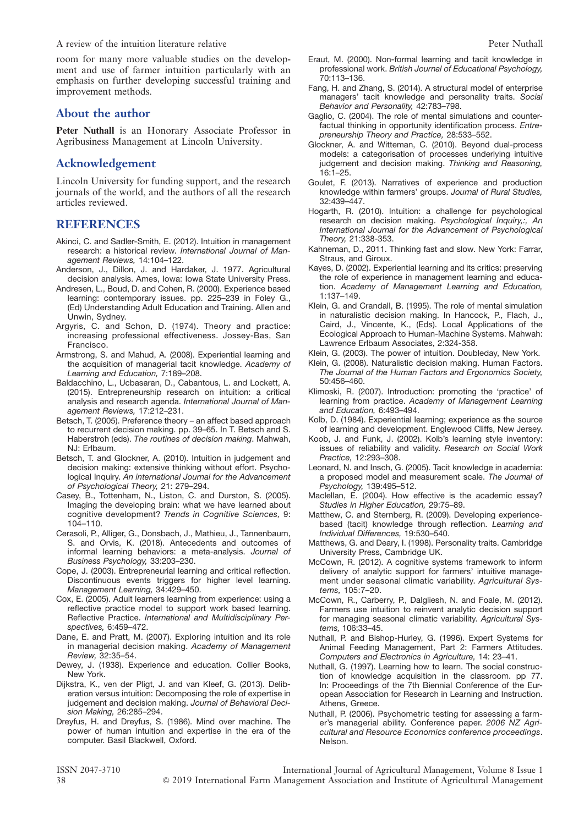A review of the intuition literature relative A review Peter Nuthall

room for many more valuable studies on the development and use of farmer intuition particularly with an emphasis on further developing successful training and improvement methods.

#### About the author

Peter Nuthall is an Honorary Associate Professor in Agribusiness Management at Lincoln University.

#### Acknowledgement

Lincoln University for funding support, and the research journals of the world, and the authors of all the research articles reviewed.

#### REFERENCES

- Akinci, C. and Sadler-Smith, E. (2012). Intuition in management research: a historical review. International Journal of Management Reviews, 14:104–122.
- Anderson, J., Dillon, J. and Hardaker, J. 1977. Agricultural decision analysis. Ames, Iowa: Iowa State University Press.
- Andresen, L., Boud, D. and Cohen, R. (2000). Experience based learning: contemporary issues. pp. 225–239 in Foley G., (Ed) Understanding Adult Education and Training. Allen and Unwin, Sydney.
- Argyris, C. and Schon, D. (1974). Theory and practice: increasing professional effectiveness. Jossey-Bas, San Francisco.
- Armstrong, S. and Mahud, A. (2008). Experiential learning and the acquisition of managerial tacit knowledge. Academy of Learning and Education, 7:189–208.
- Baldacchino, L., Ucbasaran, D., Cabantous, L. and Lockett, A. (2015). Entrepreneurship research on intuition: a critical analysis and research agenda. International Journal of Management Reviews, 17:212–231.
- Betsch, T. (2005). Preference theory an affect based approach to recurrent decision making. pp. 39–65. In T. Betsch and S. Haberstroh (eds). The routines of decision making. Mahwah, NJ: Erlbaum.
- Betsch, T. and Glockner, A. (2010). Intuition in judgement and decision making: extensive thinking without effort. Psychological Inquiry. An international Journal for the Advancement of Psychological Theory, 21: 279–294.
- Casey, B., Tottenham, N., Liston, C. and Durston, S. (2005). Imaging the developing brain: what we have learned about cognitive development? Trends in Cognitive Sciences, 9: 104–110.
- Cerasoli, P., Alliger, G., Donsbach, J., Mathieu, J., Tannenbaum, S. and Orvis, K. (2018). Antecedents and outcomes of informal learning behaviors: a meta-analysis. Journal of Business Psychology, 33:203–230.
- Cope, J. (2003). Entrepreneurial learning and critical reflection. Discontinuous events triggers for higher level learning. Management Learning, 34:429–450.
- Cox, E. (2005). Adult learners learning from experience: using a reflective practice model to support work based learning. Reflective Practice. International and Multidisciplinary Perspectives, 6:459–472.
- Dane, E. and Pratt, M. (2007). Exploring intuition and its role in managerial decision making. Academy of Management Review, 32:35–54.
- Dewey, J. (1938). Experience and education. Collier Books, New York.
- Dijkstra, K., ven der Pligt, J. and van Kleef, G. (2013). Deliberation versus intuition: Decomposing the role of expertise in judgement and decision making. Journal of Behavioral Decision Making, 26:285–294.
- Dreyfus, H. and Dreyfus, S. (1986). Mind over machine. The power of human intuition and expertise in the era of the computer. Basil Blackwell, Oxford.
- Eraut, M. (2000). Non-formal learning and tacit knowledge in professional work. British Journal of Educational Psychology, 70:113–136.
- Fang, H. and Zhang, S. (2014). A structural model of enterprise managers' tacit knowledge and personality traits. Social Behavior and Personality, 42:783–798.
- Gaglio, C. (2004). The role of mental simulations and counterfactual thinking in opportunity identification process. Entrepreneurship Theory and Practice, 28:533–552.
- Glockner, A. and Witteman, C. (2010). Beyond dual-process models: a categorisation of processes underlying intuitive judgement and decision making. Thinking and Reasoning, 16:1–25.
- Goulet, F. (2013). Narratives of experience and production knowledge within farmers' groups. Journal of Rural Studies, 32:439–447.
- Hogarth, R. (2010). Intuition: a challenge for psychological research on decision making. Psychological Inquiry,:, An International Journal for the Advancement of Psychological Theory, 21:338-353.
- Kahneman, D., 2011. Thinking fast and slow. New York: Farrar, Straus, and Giroux.
- Kayes, D. (2002). Experiential learning and its critics: preserving the role of experience in management learning and education. Academy of Management Learning and Education, 1:137–149.
- Klein, G. and Crandall, B. (1995). The role of mental simulation in naturalistic decision making. In Hancock, P., Flach, J., Caird, J., Vincente, K., (Eds). Local Applications of the Ecological Approach to Human-Machine Systems. Mahwah: Lawrence Erlbaum Associates, 2:324-358.
- Klein, G. (2003). The power of intuition. Doubleday, New York.
- Klein, G. (2008). Naturalistic decision making. Human Factors. The Journal of the Human Factors and Ergonomics Society, 50:456–460.
- Klimoski, R. (2007). Introduction: promoting the 'practice' of learning from practice. Academy of Management Learning and Education, 6:493–494.
- Kolb, D. (1984). Experiential learning; experience as the source of learning and development. Englewood Cliffs, New Jersey.
- Koob, J. and Funk, J. (2002). Kolb's learning style inventory: issues of reliability and validity. Research on Social Work Practice, 12:293–308.
- Leonard, N. and Insch, G. (2005). Tacit knowledge in academia: a proposed model and measurement scale. The Journal of Psychology, 139:495–512.
- Maclellan, E. (2004). How effective is the academic essay? Studies in Higher Education, 29:75–89.
- Matthew, C. and Sternberg, R. (2009). Developing experiencebased (tacit) knowledge through reflection. Learning and Individual Differences, 19:530–540.
- Matthews, G. and Deary, I. (1998). Personality traits. Cambridge University Press, Cambridge UK.
- McCown, R. (2012). A cognitive systems framework to inform delivery of analytic support for farmers' intuitive management under seasonal climatic variability. Agricultural Systems, 105:7–20.
- McCown, R., Carberry, P., Dalgliesh, N. and Foale, M. (2012). Farmers use intuition to reinvent analytic decision support for managing seasonal climatic variability. Agricultural Systems, 106:33–45.
- Nuthall, P. and Bishop-Hurley, G. (1996). Expert Systems for Animal Feeding Management, Part 2: Farmers Attitudes. Computers and Electronics in Agriculture, 14: 23–41.
- Nuthall, G. (1997). Learning how to learn. The social construction of knowledge acquisition in the classroom. pp 77. In: Proceedings of the 7th Biennial Conference of the European Association for Research in Learning and Instruction. Athens, Greece.
- Nuthall, P. (2006). Psychometric testing for assessing a farmer's managerial ability. Conference paper. 2006 NZ Agricultural and Resource Economics conference proceedings. Nelson.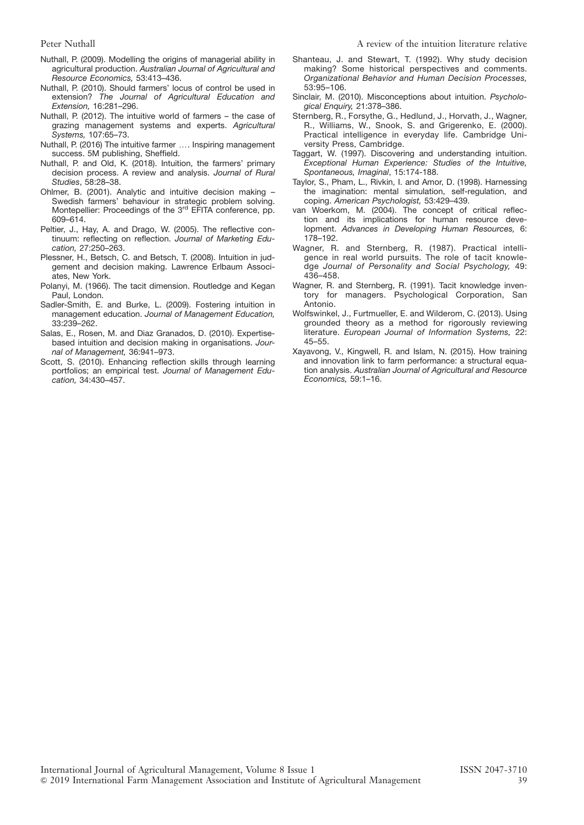- Nuthall, P. (2009). Modelling the origins of managerial ability in agricultural production. Australian Journal of Agricultural and Resource Economics, 53:413–436.
- Nuthall, P. (2010). Should farmers' locus of control be used in extension? The Journal of Agricultural Education and Extension, 16:281–296.
- Nuthall, P. (2012). The intuitive world of farmers the case of grazing management systems and experts. Agricultural Systems, 107:65–73.
- Nuthall, P. (2016) The intuitive farmer .... Inspiring management success. 5M publishing, Sheffield.
- Nuthall, P. and Old, K. (2018). Intuition, the farmers' primary decision process. A review and analysis. Journal of Rural Studies, 58:28–38.
- Ohlmer, B. (2001). Analytic and intuitive decision making Swedish farmers' behaviour in strategic problem solving. Montepellier: Proceedings of the 3<sup>rd</sup> EFITA conference, pp. 609–614.
- Peltier, J., Hay, A. and Drago, W. (2005). The reflective continuum: reflecting on reflection. Journal of Marketing Education, 27:250–263.
- Plessner, H., Betsch, C. and Betsch, T. (2008). Intuition in judgement and decision making. Lawrence Erlbaum Associates, New York.
- Polanyi, M. (1966). The tacit dimension. Routledge and Kegan Paul, London.
- Sadler-Smith, E. and Burke, L. (2009). Fostering intuition in management education. Journal of Management Education, 33:239–262.
- Salas, E., Rosen, M. and Diaz Granados, D. (2010). Expertisebased intuition and decision making in organisations. Journal of Management, 36:941–973.
- Scott, S. (2010). Enhancing reflection skills through learning portfolios; an empirical test. Journal of Management Education, 34:430–457.
- Shanteau, J. and Stewart, T. (1992). Why study decision making? Some historical perspectives and comments. Organizational Behavior and Human Decision Processes, 53:95–106.
- Sinclair, M. (2010). Misconceptions about intuition. Psychological Enquiry, 21:378–386.
- Sternberg, R., Forsythe, G., Hedlund, J., Horvath, J., Wagner, R., Williams, W., Snook, S. and Grigerenko, E. (2000). Practical intelligence in everyday life. Cambridge University Press, Cambridge.
- Taggart, W. (1997). Discovering and understanding intuition. Exceptional Human Experience: Studies of the Intuitive, Spontaneous, Imaginal, 15:174-188.
- Taylor, S., Pham, L., Rivkin, I. and Amor, D. (1998). Harnessing the imagination: mental simulation, self-regulation, and coping. American Psychologist, 53:429–439.
- van Woerkom, M. (2004). The concept of critical reflection and its implications for human resource development. Advances in Developing Human Resources, 6: 178–192.
- Wagner, R. and Sternberg, R. (1987). Practical intelligence in real world pursuits. The role of tacit knowledge Journal of Personality and Social Psychology, 49: 436–458.
- Wagner, R. and Sternberg, R. (1991). Tacit knowledge inventory for managers. Psychological Corporation, San Antonio.
- Wolfswinkel, J., Furtmueller, E. and Wilderom, C. (2013). Using grounded theory as a method for rigorously reviewing literature. European Journal of Information Systems, 22: 45–55.
- Xayavong, V., Kingwell, R. and Islam, N. (2015). How training and innovation link to farm performance: a structural equation analysis. Australian Journal of Agricultural and Resource Economics, 59:1–16.